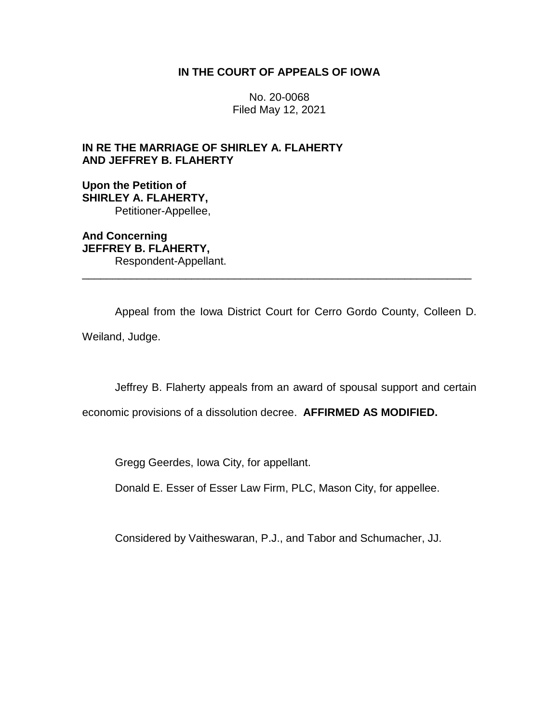# **IN THE COURT OF APPEALS OF IOWA**

No. 20-0068 Filed May 12, 2021

# **IN RE THE MARRIAGE OF SHIRLEY A. FLAHERTY AND JEFFREY B. FLAHERTY**

**Upon the Petition of SHIRLEY A. FLAHERTY,** Petitioner-Appellee,

**And Concerning JEFFREY B. FLAHERTY,** Respondent-Appellant. \_\_\_\_\_\_\_\_\_\_\_\_\_\_\_\_\_\_\_\_\_\_\_\_\_\_\_\_\_\_\_\_\_\_\_\_\_\_\_\_\_\_\_\_\_\_\_\_\_\_\_\_\_\_\_\_\_\_\_\_\_\_\_\_

Appeal from the Iowa District Court for Cerro Gordo County, Colleen D.

Weiland, Judge.

Jeffrey B. Flaherty appeals from an award of spousal support and certain

economic provisions of a dissolution decree. **AFFIRMED AS MODIFIED.**

Gregg Geerdes, Iowa City, for appellant.

Donald E. Esser of Esser Law Firm, PLC, Mason City, for appellee.

Considered by Vaitheswaran, P.J., and Tabor and Schumacher, JJ.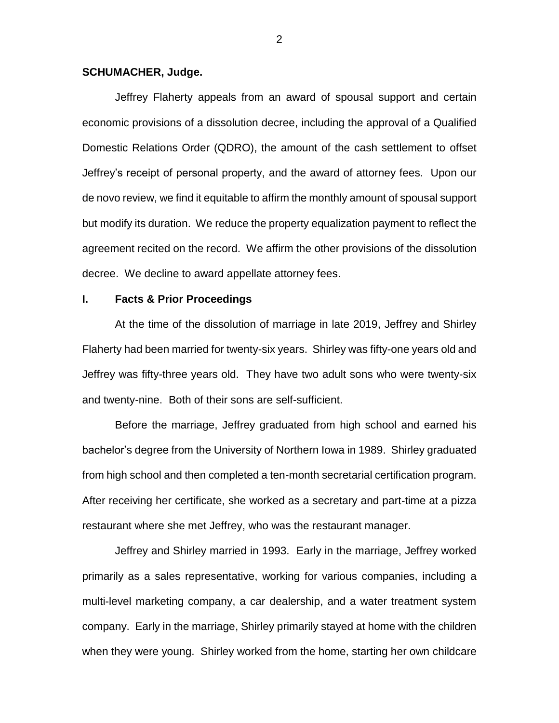### **SCHUMACHER, Judge.**

Jeffrey Flaherty appeals from an award of spousal support and certain economic provisions of a dissolution decree, including the approval of a Qualified Domestic Relations Order (QDRO), the amount of the cash settlement to offset Jeffrey's receipt of personal property, and the award of attorney fees. Upon our de novo review, we find it equitable to affirm the monthly amount of spousal support but modify its duration. We reduce the property equalization payment to reflect the agreement recited on the record. We affirm the other provisions of the dissolution decree. We decline to award appellate attorney fees.

## **I. Facts & Prior Proceedings**

At the time of the dissolution of marriage in late 2019, Jeffrey and Shirley Flaherty had been married for twenty-six years. Shirley was fifty-one years old and Jeffrey was fifty-three years old. They have two adult sons who were twenty-six and twenty-nine. Both of their sons are self-sufficient.

Before the marriage, Jeffrey graduated from high school and earned his bachelor's degree from the University of Northern Iowa in 1989. Shirley graduated from high school and then completed a ten-month secretarial certification program. After receiving her certificate, she worked as a secretary and part-time at a pizza restaurant where she met Jeffrey, who was the restaurant manager.

Jeffrey and Shirley married in 1993. Early in the marriage, Jeffrey worked primarily as a sales representative, working for various companies, including a multi-level marketing company, a car dealership, and a water treatment system company. Early in the marriage, Shirley primarily stayed at home with the children when they were young. Shirley worked from the home, starting her own childcare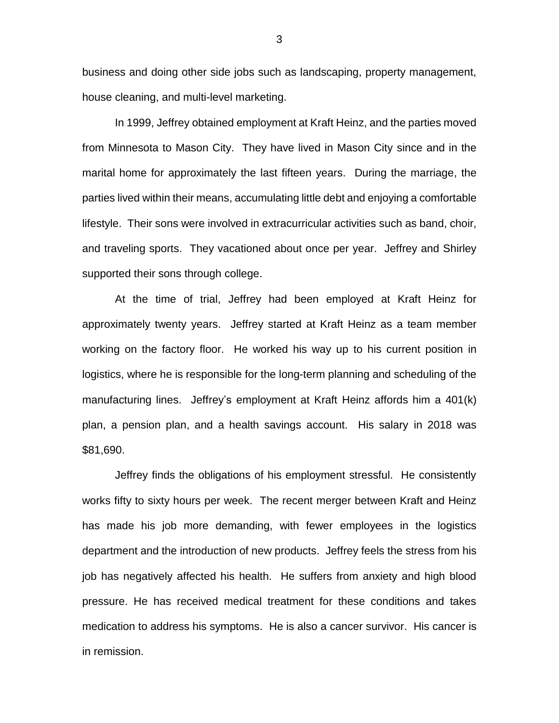business and doing other side jobs such as landscaping, property management, house cleaning, and multi-level marketing.

In 1999, Jeffrey obtained employment at Kraft Heinz, and the parties moved from Minnesota to Mason City. They have lived in Mason City since and in the marital home for approximately the last fifteen years. During the marriage, the parties lived within their means, accumulating little debt and enjoying a comfortable lifestyle. Their sons were involved in extracurricular activities such as band, choir, and traveling sports. They vacationed about once per year. Jeffrey and Shirley supported their sons through college.

At the time of trial, Jeffrey had been employed at Kraft Heinz for approximately twenty years. Jeffrey started at Kraft Heinz as a team member working on the factory floor. He worked his way up to his current position in logistics, where he is responsible for the long-term planning and scheduling of the manufacturing lines. Jeffrey's employment at Kraft Heinz affords him a 401(k) plan, a pension plan, and a health savings account. His salary in 2018 was \$81,690.

Jeffrey finds the obligations of his employment stressful. He consistently works fifty to sixty hours per week. The recent merger between Kraft and Heinz has made his job more demanding, with fewer employees in the logistics department and the introduction of new products. Jeffrey feels the stress from his job has negatively affected his health. He suffers from anxiety and high blood pressure. He has received medical treatment for these conditions and takes medication to address his symptoms. He is also a cancer survivor. His cancer is in remission.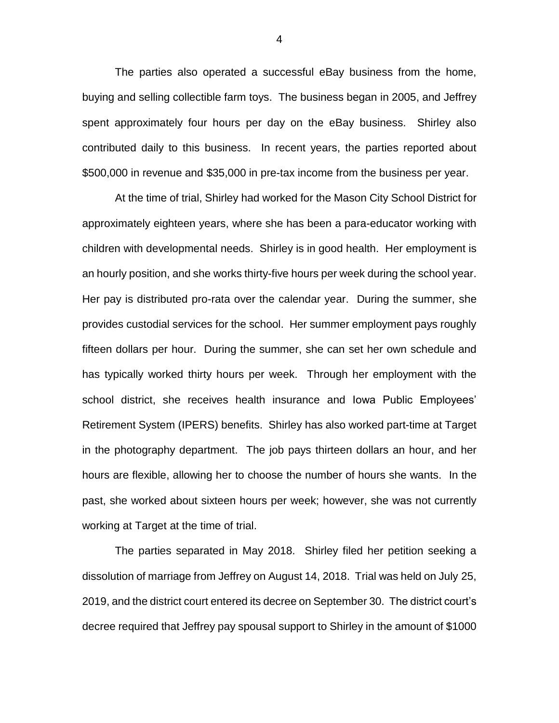The parties also operated a successful eBay business from the home, buying and selling collectible farm toys. The business began in 2005, and Jeffrey spent approximately four hours per day on the eBay business. Shirley also contributed daily to this business. In recent years, the parties reported about \$500,000 in revenue and \$35,000 in pre-tax income from the business per year.

At the time of trial, Shirley had worked for the Mason City School District for approximately eighteen years, where she has been a para-educator working with children with developmental needs. Shirley is in good health. Her employment is an hourly position, and she works thirty-five hours per week during the school year. Her pay is distributed pro-rata over the calendar year. During the summer, she provides custodial services for the school. Her summer employment pays roughly fifteen dollars per hour. During the summer, she can set her own schedule and has typically worked thirty hours per week. Through her employment with the school district, she receives health insurance and Iowa Public Employees' Retirement System (IPERS) benefits. Shirley has also worked part-time at Target in the photography department. The job pays thirteen dollars an hour, and her hours are flexible, allowing her to choose the number of hours she wants. In the past, she worked about sixteen hours per week; however, she was not currently working at Target at the time of trial.

The parties separated in May 2018. Shirley filed her petition seeking a dissolution of marriage from Jeffrey on August 14, 2018. Trial was held on July 25, 2019, and the district court entered its decree on September 30. The district court's decree required that Jeffrey pay spousal support to Shirley in the amount of \$1000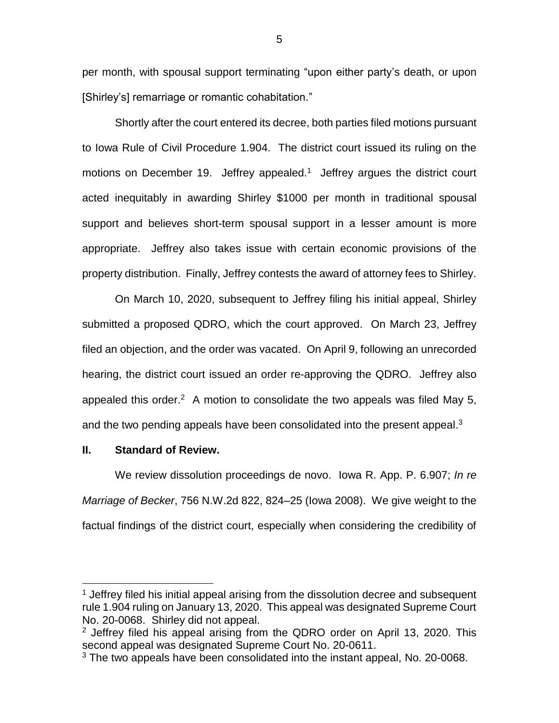per month, with spousal support terminating "upon either party's death, or upon [Shirley's] remarriage or romantic cohabitation."

Shortly after the court entered its decree, both parties filed motions pursuant to Iowa Rule of Civil Procedure 1.904. The district court issued its ruling on the motions on December 19. Jeffrey appealed. 1 Jeffrey argues the district court acted inequitably in awarding Shirley \$1000 per month in traditional spousal support and believes short-term spousal support in a lesser amount is more appropriate. Jeffrey also takes issue with certain economic provisions of the property distribution. Finally, Jeffrey contests the award of attorney fees to Shirley.

On March 10, 2020, subsequent to Jeffrey filing his initial appeal, Shirley submitted a proposed QDRO, which the court approved. On March 23, Jeffrey filed an objection, and the order was vacated. On April 9, following an unrecorded hearing, the district court issued an order re-approving the QDRO. Jeffrey also appealed this order.<sup>2</sup> A motion to consolidate the two appeals was filed May 5, and the two pending appeals have been consolidated into the present appeal.<sup>3</sup>

## **II. Standard of Review.**

 $\overline{a}$ 

We review dissolution proceedings de novo. Iowa R. App. P. 6.907; *In re Marriage of Becker*, 756 N.W.2d 822, 824–25 (Iowa 2008). We give weight to the factual findings of the district court, especially when considering the credibility of

<sup>&</sup>lt;sup>1</sup> Jeffrey filed his initial appeal arising from the dissolution decree and subsequent rule 1.904 ruling on January 13, 2020. This appeal was designated Supreme Court No. 20-0068. Shirley did not appeal.

 $2$  Jeffrey filed his appeal arising from the QDRO order on April 13, 2020. This second appeal was designated Supreme Court No. 20-0611.

<sup>&</sup>lt;sup>3</sup> The two appeals have been consolidated into the instant appeal, No. 20-0068.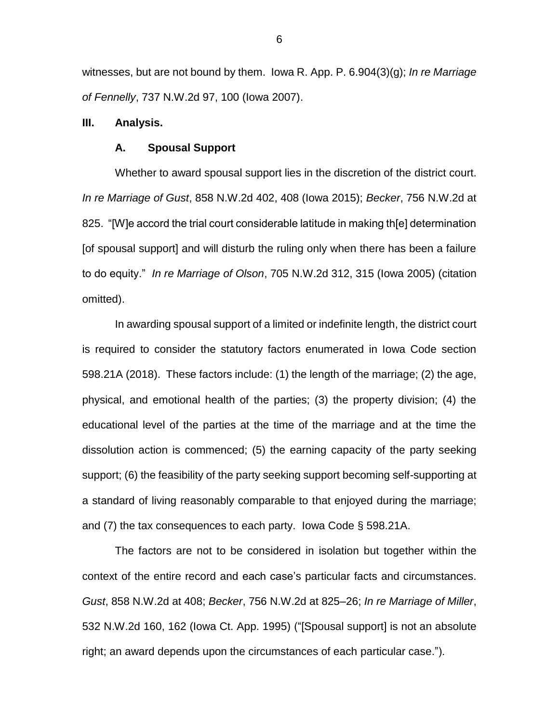witnesses, but are not bound by them. Iowa R. App. P. 6.904(3)(g); *In re Marriage of Fennelly*, 737 N.W.2d 97, 100 (Iowa 2007).

#### **III. Analysis.**

#### **A. Spousal Support**

Whether to award spousal support lies in the discretion of the district court. *In re Marriage of Gust*, 858 N.W.2d 402, 408 (Iowa 2015); *Becker*, 756 N.W.2d at 825. "[W]e accord the trial court considerable latitude in making th[e] determination [of spousal support] and will disturb the ruling only when there has been a failure to do equity." *In re Marriage of Olson*, 705 N.W.2d 312, 315 (Iowa 2005) (citation omitted).

In awarding spousal support of a limited or indefinite length, the district court is required to consider the statutory factors enumerated in Iowa Code section 598.21A (2018). These factors include: (1) the length of the marriage; (2) the age, physical, and emotional health of the parties; (3) the property division; (4) the educational level of the parties at the time of the marriage and at the time the dissolution action is commenced; (5) the earning capacity of the party seeking support; (6) the feasibility of the party seeking support becoming self-supporting at a standard of living reasonably comparable to that enjoyed during the marriage; and (7) the tax consequences to each party. Iowa Code § 598.21A.

The factors are not to be considered in isolation but together within the context of the entire record and each case's particular facts and circumstances. *Gust*, 858 N.W.2d at 408; *Becker*, 756 N.W.2d at 825–26; *In re Marriage of Miller*, 532 N.W.2d 160, 162 (Iowa Ct. App. 1995) ("[Spousal support] is not an absolute right; an award depends upon the circumstances of each particular case.").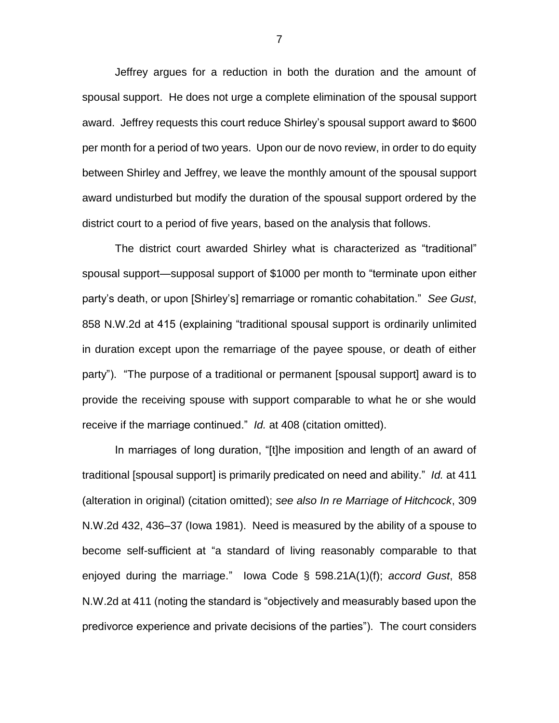Jeffrey argues for a reduction in both the duration and the amount of spousal support. He does not urge a complete elimination of the spousal support award. Jeffrey requests this court reduce Shirley's spousal support award to \$600 per month for a period of two years. Upon our de novo review, in order to do equity between Shirley and Jeffrey, we leave the monthly amount of the spousal support award undisturbed but modify the duration of the spousal support ordered by the district court to a period of five years, based on the analysis that follows.

The district court awarded Shirley what is characterized as "traditional" spousal support—supposal support of \$1000 per month to "terminate upon either party's death, or upon [Shirley's] remarriage or romantic cohabitation." *See Gust*, 858 N.W.2d at 415 (explaining "traditional spousal support is ordinarily unlimited in duration except upon the remarriage of the payee spouse, or death of either party"). "The purpose of a traditional or permanent [spousal support] award is to provide the receiving spouse with support comparable to what he or she would receive if the marriage continued." *Id.* at 408 (citation omitted).

In marriages of long duration, "[t]he imposition and length of an award of traditional [spousal support] is primarily predicated on need and ability." *Id.* at 411 (alteration in original) (citation omitted); *see also In re Marriage of Hitchcock*, 309 N.W.2d 432, 436–37 (Iowa 1981). Need is measured by the ability of a spouse to become self-sufficient at "a standard of living reasonably comparable to that enjoyed during the marriage." Iowa Code § 598.21A(1)(f); *accord Gust*, 858 N.W.2d at 411 (noting the standard is "objectively and measurably based upon the predivorce experience and private decisions of the parties"). The court considers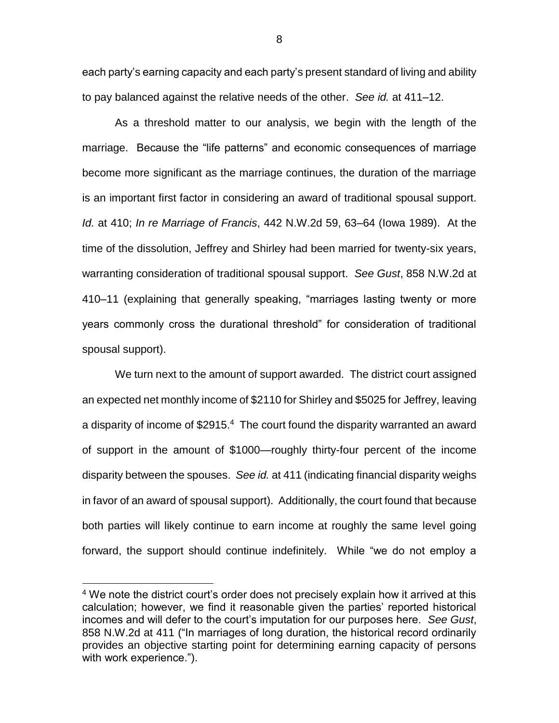each party's earning capacity and each party's present standard of living and ability to pay balanced against the relative needs of the other. *See id.* at 411–12.

As a threshold matter to our analysis, we begin with the length of the marriage. Because the "life patterns" and economic consequences of marriage become more significant as the marriage continues, the duration of the marriage is an important first factor in considering an award of traditional spousal support. *Id.* at 410; *In re Marriage of Francis*, 442 N.W.2d 59, 63–64 (Iowa 1989). At the time of the dissolution, Jeffrey and Shirley had been married for twenty-six years, warranting consideration of traditional spousal support. *See Gust*, 858 N.W.2d at 410–11 (explaining that generally speaking, "marriages lasting twenty or more years commonly cross the durational threshold" for consideration of traditional spousal support).

We turn next to the amount of support awarded. The district court assigned an expected net monthly income of \$2110 for Shirley and \$5025 for Jeffrey, leaving a disparity of income of \$2915.<sup>4</sup> The court found the disparity warranted an award of support in the amount of \$1000—roughly thirty-four percent of the income disparity between the spouses. *See id.* at 411 (indicating financial disparity weighs in favor of an award of spousal support). Additionally, the court found that because both parties will likely continue to earn income at roughly the same level going forward, the support should continue indefinitely. While "we do not employ a

 $\overline{a}$ 

<sup>&</sup>lt;sup>4</sup> We note the district court's order does not precisely explain how it arrived at this calculation; however, we find it reasonable given the parties' reported historical incomes and will defer to the court's imputation for our purposes here. *See Gust*, 858 N.W.2d at 411 ("In marriages of long duration, the historical record ordinarily provides an objective starting point for determining earning capacity of persons with work experience.").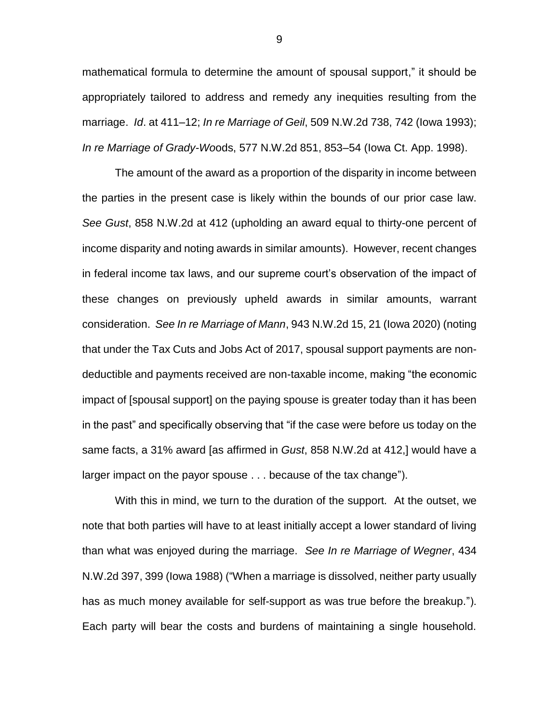mathematical formula to determine the amount of spousal support," it should be appropriately tailored to address and remedy any inequities resulting from the marriage. *Id*. at 411–12; *In re Marriage of Geil*, 509 N.W.2d 738, 742 (Iowa 1993); *In re Marriage of Grady-Wo*ods, 577 N.W.2d 851, 853–54 (Iowa Ct. App. 1998).

The amount of the award as a proportion of the disparity in income between the parties in the present case is likely within the bounds of our prior case law. *See Gust*, 858 N.W.2d at 412 (upholding an award equal to thirty-one percent of income disparity and noting awards in similar amounts). However, recent changes in federal income tax laws, and our supreme court's observation of the impact of these changes on previously upheld awards in similar amounts, warrant consideration. *See In re Marriage of Mann*, 943 N.W.2d 15, 21 (Iowa 2020) (noting that under the Tax Cuts and Jobs Act of 2017, spousal support payments are nondeductible and payments received are non-taxable income, making "the economic impact of [spousal support] on the paying spouse is greater today than it has been in the past" and specifically observing that "if the case were before us today on the same facts, a 31% award [as affirmed in *Gust*, 858 N.W.2d at 412,] would have a larger impact on the payor spouse . . . because of the tax change").

With this in mind, we turn to the duration of the support. At the outset, we note that both parties will have to at least initially accept a lower standard of living than what was enjoyed during the marriage. *See In re Marriage of Wegner*, 434 N.W.2d 397, 399 (Iowa 1988) ("When a marriage is dissolved, neither party usually has as much money available for self-support as was true before the breakup."). Each party will bear the costs and burdens of maintaining a single household.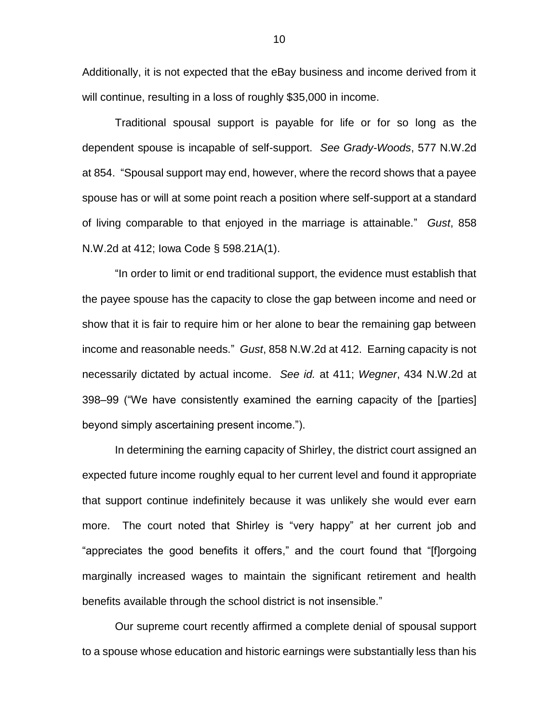Additionally, it is not expected that the eBay business and income derived from it will continue, resulting in a loss of roughly \$35,000 in income.

Traditional spousal support is payable for life or for so long as the dependent spouse is incapable of self-support. *See Grady-Woods*, 577 N.W.2d at 854. "Spousal support may end, however, where the record shows that a payee spouse has or will at some point reach a position where self-support at a standard of living comparable to that enjoyed in the marriage is attainable." *Gust*, 858 N.W.2d at 412; Iowa Code § 598.21A(1).

"In order to limit or end traditional support, the evidence must establish that the payee spouse has the capacity to close the gap between income and need or show that it is fair to require him or her alone to bear the remaining gap between income and reasonable needs." *Gust*, 858 N.W.2d at 412. Earning capacity is not necessarily dictated by actual income. *See id.* at 411; *Wegner*, 434 N.W.2d at 398–99 ("We have consistently examined the earning capacity of the [parties] beyond simply ascertaining present income.").

In determining the earning capacity of Shirley, the district court assigned an expected future income roughly equal to her current level and found it appropriate that support continue indefinitely because it was unlikely she would ever earn more. The court noted that Shirley is "very happy" at her current job and "appreciates the good benefits it offers," and the court found that "[f]orgoing marginally increased wages to maintain the significant retirement and health benefits available through the school district is not insensible."

Our supreme court recently affirmed a complete denial of spousal support to a spouse whose education and historic earnings were substantially less than his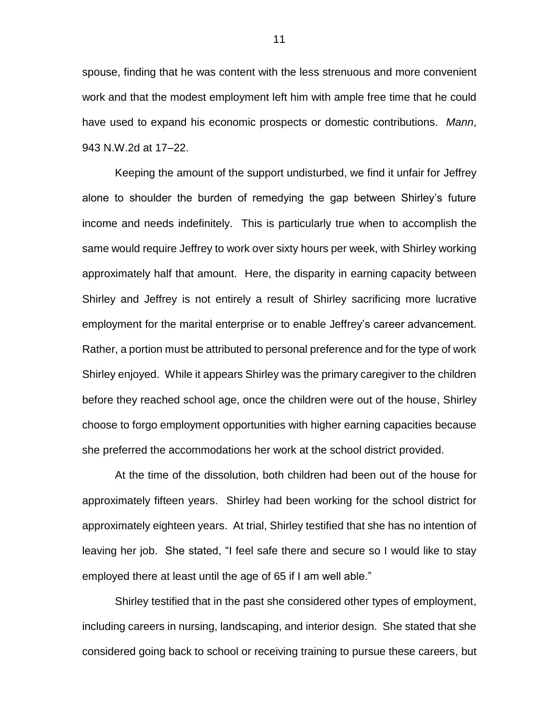spouse, finding that he was content with the less strenuous and more convenient work and that the modest employment left him with ample free time that he could have used to expand his economic prospects or domestic contributions. *Mann*, 943 N.W.2d at 17–22.

Keeping the amount of the support undisturbed, we find it unfair for Jeffrey alone to shoulder the burden of remedying the gap between Shirley's future income and needs indefinitely. This is particularly true when to accomplish the same would require Jeffrey to work over sixty hours per week, with Shirley working approximately half that amount. Here, the disparity in earning capacity between Shirley and Jeffrey is not entirely a result of Shirley sacrificing more lucrative employment for the marital enterprise or to enable Jeffrey's career advancement. Rather, a portion must be attributed to personal preference and for the type of work Shirley enjoyed. While it appears Shirley was the primary caregiver to the children before they reached school age, once the children were out of the house, Shirley choose to forgo employment opportunities with higher earning capacities because she preferred the accommodations her work at the school district provided.

At the time of the dissolution, both children had been out of the house for approximately fifteen years. Shirley had been working for the school district for approximately eighteen years. At trial, Shirley testified that she has no intention of leaving her job. She stated, "I feel safe there and secure so I would like to stay employed there at least until the age of 65 if I am well able."

Shirley testified that in the past she considered other types of employment, including careers in nursing, landscaping, and interior design. She stated that she considered going back to school or receiving training to pursue these careers, but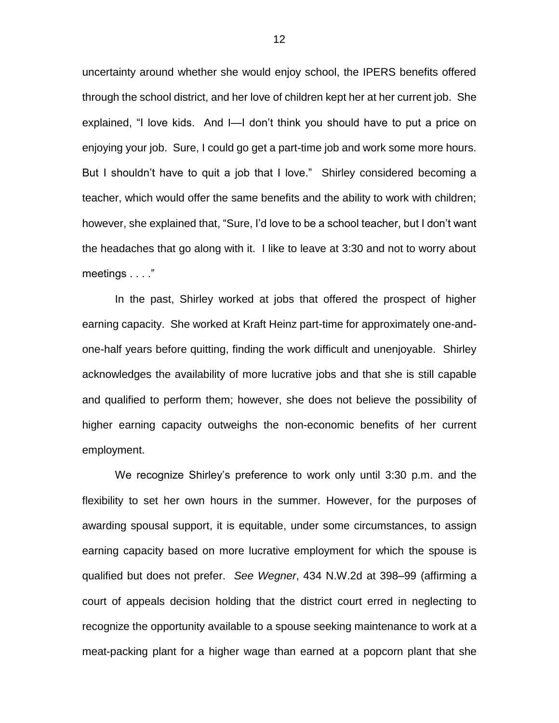uncertainty around whether she would enjoy school, the IPERS benefits offered through the school district, and her love of children kept her at her current job. She explained, "I love kids. And I—I don't think you should have to put a price on enjoying your job. Sure, I could go get a part-time job and work some more hours. But I shouldn't have to quit a job that I love." Shirley considered becoming a teacher, which would offer the same benefits and the ability to work with children; however, she explained that, "Sure, I'd love to be a school teacher, but I don't want the headaches that go along with it. I like to leave at 3:30 and not to worry about meetings . . . ."

In the past, Shirley worked at jobs that offered the prospect of higher earning capacity. She worked at Kraft Heinz part-time for approximately one-andone-half years before quitting, finding the work difficult and unenjoyable. Shirley acknowledges the availability of more lucrative jobs and that she is still capable and qualified to perform them; however, she does not believe the possibility of higher earning capacity outweighs the non-economic benefits of her current employment.

We recognize Shirley's preference to work only until 3:30 p.m. and the flexibility to set her own hours in the summer. However, for the purposes of awarding spousal support, it is equitable, under some circumstances, to assign earning capacity based on more lucrative employment for which the spouse is qualified but does not prefer. *See Wegner*, 434 N.W.2d at 398–99 (affirming a court of appeals decision holding that the district court erred in neglecting to recognize the opportunity available to a spouse seeking maintenance to work at a meat-packing plant for a higher wage than earned at a popcorn plant that she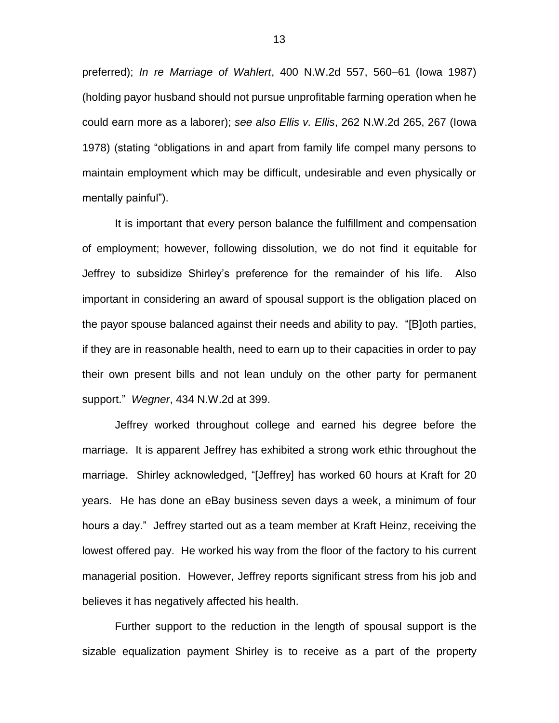preferred); *In re Marriage of Wahlert*, 400 N.W.2d 557, 560–61 (Iowa 1987) (holding payor husband should not pursue unprofitable farming operation when he could earn more as a laborer); *see also Ellis v. Ellis*, 262 N.W.2d 265, 267 (Iowa 1978) (stating "obligations in and apart from family life compel many persons to maintain employment which may be difficult, undesirable and even physically or mentally painful").

It is important that every person balance the fulfillment and compensation of employment; however, following dissolution, we do not find it equitable for Jeffrey to subsidize Shirley's preference for the remainder of his life. Also important in considering an award of spousal support is the obligation placed on the payor spouse balanced against their needs and ability to pay. "[B]oth parties, if they are in reasonable health, need to earn up to their capacities in order to pay their own present bills and not lean unduly on the other party for permanent support." *Wegner*, 434 N.W.2d at 399.

Jeffrey worked throughout college and earned his degree before the marriage. It is apparent Jeffrey has exhibited a strong work ethic throughout the marriage. Shirley acknowledged, "[Jeffrey] has worked 60 hours at Kraft for 20 years. He has done an eBay business seven days a week, a minimum of four hours a day." Jeffrey started out as a team member at Kraft Heinz, receiving the lowest offered pay. He worked his way from the floor of the factory to his current managerial position. However, Jeffrey reports significant stress from his job and believes it has negatively affected his health.

Further support to the reduction in the length of spousal support is the sizable equalization payment Shirley is to receive as a part of the property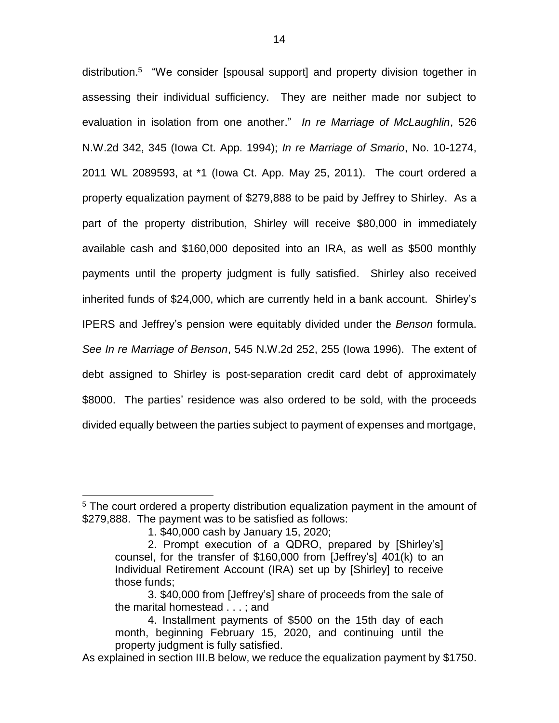distribution.<sup>5</sup> "We consider [spousal support] and property division together in assessing their individual sufficiency. They are neither made nor subject to evaluation in isolation from one another." *In re Marriage of McLaughlin*, 526 N.W.2d 342, 345 (Iowa Ct. App. 1994); *In re Marriage of Smario*, No. 10-1274, 2011 WL 2089593, at \*1 (Iowa Ct. App. May 25, 2011). The court ordered a property equalization payment of \$279,888 to be paid by Jeffrey to Shirley. As a part of the property distribution, Shirley will receive \$80,000 in immediately available cash and \$160,000 deposited into an IRA, as well as \$500 monthly payments until the property judgment is fully satisfied. Shirley also received inherited funds of \$24,000, which are currently held in a bank account. Shirley's IPERS and Jeffrey's pension were equitably divided under the *Benson* formula. *See In re Marriage of Benson*, 545 N.W.2d 252, 255 (Iowa 1996). The extent of debt assigned to Shirley is post-separation credit card debt of approximately \$8000. The parties' residence was also ordered to be sold, with the proceeds divided equally between the parties subject to payment of expenses and mortgage,

 $\overline{a}$ 

<sup>&</sup>lt;sup>5</sup> The court ordered a property distribution equalization payment in the amount of \$279,888. The payment was to be satisfied as follows:

<sup>1. \$40,000</sup> cash by January 15, 2020;

<sup>2.</sup> Prompt execution of a QDRO, prepared by [Shirley's] counsel, for the transfer of \$160,000 from [Jeffrey's] 401(k) to an Individual Retirement Account (IRA) set up by [Shirley] to receive those funds;

<sup>3. \$40,000</sup> from [Jeffrey's] share of proceeds from the sale of the marital homestead . . . ; and

<sup>4.</sup> Installment payments of \$500 on the 15th day of each month, beginning February 15, 2020, and continuing until the property judgment is fully satisfied.

As explained in section III.B below, we reduce the equalization payment by \$1750.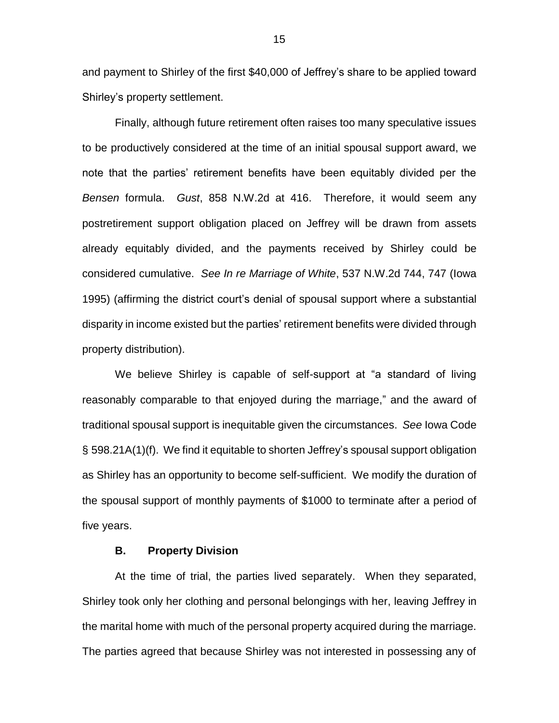and payment to Shirley of the first \$40,000 of Jeffrey's share to be applied toward Shirley's property settlement.

Finally, although future retirement often raises too many speculative issues to be productively considered at the time of an initial spousal support award, we note that the parties' retirement benefits have been equitably divided per the *Bensen* formula. *Gust*, 858 N.W.2d at 416. Therefore, it would seem any postretirement support obligation placed on Jeffrey will be drawn from assets already equitably divided, and the payments received by Shirley could be considered cumulative. *See In re Marriage of White*, 537 N.W.2d 744, 747 (Iowa 1995) (affirming the district court's denial of spousal support where a substantial disparity in income existed but the parties' retirement benefits were divided through property distribution).

We believe Shirley is capable of self-support at "a standard of living reasonably comparable to that enjoyed during the marriage," and the award of traditional spousal support is inequitable given the circumstances. *See* Iowa Code § 598.21A(1)(f). We find it equitable to shorten Jeffrey's spousal support obligation as Shirley has an opportunity to become self-sufficient. We modify the duration of the spousal support of monthly payments of \$1000 to terminate after a period of five years.

## **B. Property Division**

At the time of trial, the parties lived separately. When they separated, Shirley took only her clothing and personal belongings with her, leaving Jeffrey in the marital home with much of the personal property acquired during the marriage. The parties agreed that because Shirley was not interested in possessing any of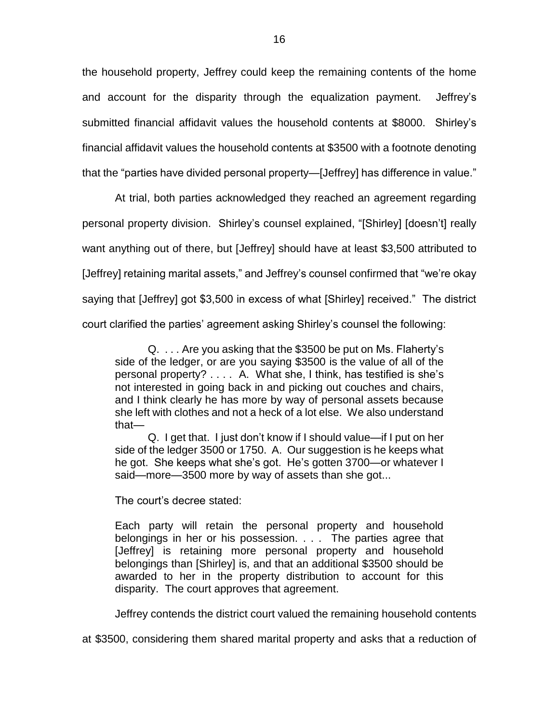the household property, Jeffrey could keep the remaining contents of the home and account for the disparity through the equalization payment. Jeffrey's submitted financial affidavit values the household contents at \$8000. Shirley's financial affidavit values the household contents at \$3500 with a footnote denoting that the "parties have divided personal property—[Jeffrey] has difference in value."

At trial, both parties acknowledged they reached an agreement regarding personal property division. Shirley's counsel explained, "[Shirley] [doesn't] really want anything out of there, but [Jeffrey] should have at least \$3,500 attributed to [Jeffrey] retaining marital assets," and Jeffrey's counsel confirmed that "we're okay saying that [Jeffrey] got \$3,500 in excess of what [Shirley] received." The district court clarified the parties' agreement asking Shirley's counsel the following:

Q. . . . Are you asking that the \$3500 be put on Ms. Flaherty's side of the ledger, or are you saying \$3500 is the value of all of the personal property? . . . . A. What she, I think, has testified is she's not interested in going back in and picking out couches and chairs, and I think clearly he has more by way of personal assets because she left with clothes and not a heck of a lot else. We also understand that—

Q. I get that. I just don't know if I should value—if I put on her side of the ledger 3500 or 1750. A. Our suggestion is he keeps what he got. She keeps what she's got. He's gotten 3700—or whatever I said—more—3500 more by way of assets than she got...

The court's decree stated:

Each party will retain the personal property and household belongings in her or his possession. . . . The parties agree that [Jeffrey] is retaining more personal property and household belongings than [Shirley] is, and that an additional \$3500 should be awarded to her in the property distribution to account for this disparity. The court approves that agreement.

Jeffrey contends the district court valued the remaining household contents

at \$3500, considering them shared marital property and asks that a reduction of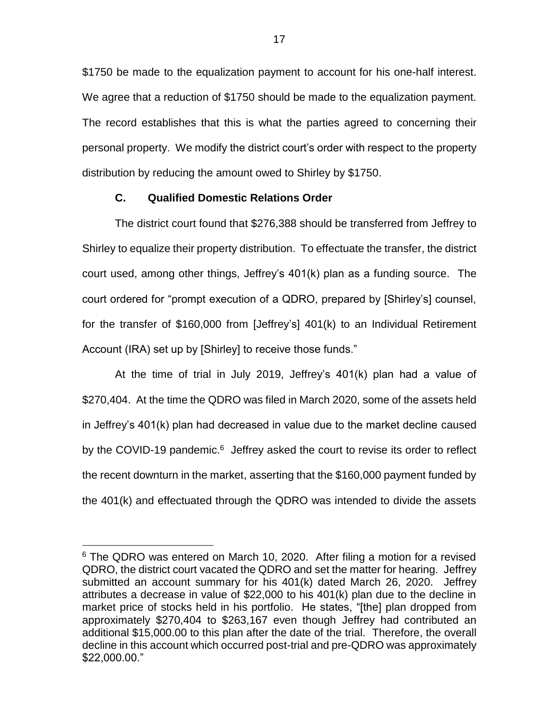\$1750 be made to the equalization payment to account for his one-half interest. We agree that a reduction of \$1750 should be made to the equalization payment. The record establishes that this is what the parties agreed to concerning their personal property. We modify the district court's order with respect to the property distribution by reducing the amount owed to Shirley by \$1750.

# **C. Qualified Domestic Relations Order**

 $\overline{a}$ 

The district court found that \$276,388 should be transferred from Jeffrey to Shirley to equalize their property distribution. To effectuate the transfer, the district court used, among other things, Jeffrey's 401(k) plan as a funding source. The court ordered for "prompt execution of a QDRO, prepared by [Shirley's] counsel, for the transfer of \$160,000 from [Jeffrey's] 401(k) to an Individual Retirement Account (IRA) set up by [Shirley] to receive those funds."

At the time of trial in July 2019, Jeffrey's 401(k) plan had a value of \$270,404. At the time the QDRO was filed in March 2020, some of the assets held in Jeffrey's 401(k) plan had decreased in value due to the market decline caused by the COVID-19 pandemic. $6$  Jeffrey asked the court to revise its order to reflect the recent downturn in the market, asserting that the \$160,000 payment funded by the 401(k) and effectuated through the QDRO was intended to divide the assets

<sup>&</sup>lt;sup>6</sup> The QDRO was entered on March 10, 2020. After filing a motion for a revised QDRO, the district court vacated the QDRO and set the matter for hearing. Jeffrey submitted an account summary for his 401(k) dated March 26, 2020. Jeffrey attributes a decrease in value of \$22,000 to his 401(k) plan due to the decline in market price of stocks held in his portfolio. He states, "[the] plan dropped from approximately \$270,404 to \$263,167 even though Jeffrey had contributed an additional \$15,000.00 to this plan after the date of the trial. Therefore, the overall decline in this account which occurred post-trial and pre-QDRO was approximately \$22,000.00."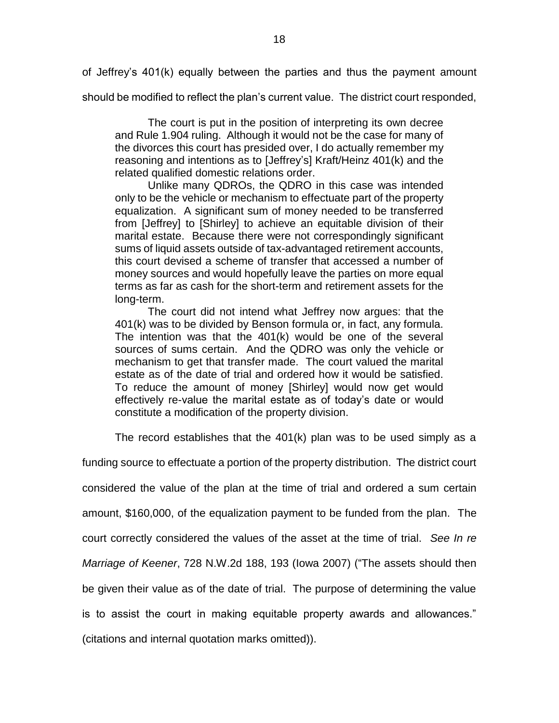of Jeffrey's 401(k) equally between the parties and thus the payment amount

should be modified to reflect the plan's current value. The district court responded,

The court is put in the position of interpreting its own decree and Rule 1.904 ruling. Although it would not be the case for many of the divorces this court has presided over, I do actually remember my reasoning and intentions as to [Jeffrey's] Kraft/Heinz 401(k) and the related qualified domestic relations order.

Unlike many QDROs, the QDRO in this case was intended only to be the vehicle or mechanism to effectuate part of the property equalization. A significant sum of money needed to be transferred from [Jeffrey] to [Shirley] to achieve an equitable division of their marital estate. Because there were not correspondingly significant sums of liquid assets outside of tax-advantaged retirement accounts, this court devised a scheme of transfer that accessed a number of money sources and would hopefully leave the parties on more equal terms as far as cash for the short-term and retirement assets for the long-term.

The court did not intend what Jeffrey now argues: that the 401(k) was to be divided by Benson formula or, in fact, any formula. The intention was that the 401(k) would be one of the several sources of sums certain. And the QDRO was only the vehicle or mechanism to get that transfer made. The court valued the marital estate as of the date of trial and ordered how it would be satisfied. To reduce the amount of money [Shirley] would now get would effectively re-value the marital estate as of today's date or would constitute a modification of the property division.

The record establishes that the 401(k) plan was to be used simply as a

funding source to effectuate a portion of the property distribution. The district court considered the value of the plan at the time of trial and ordered a sum certain amount, \$160,000, of the equalization payment to be funded from the plan. The court correctly considered the values of the asset at the time of trial. *See In re Marriage of Keener*, 728 N.W.2d 188, 193 (Iowa 2007) ("The assets should then be given their value as of the date of trial. The purpose of determining the value is to assist the court in making equitable property awards and allowances." (citations and internal quotation marks omitted)).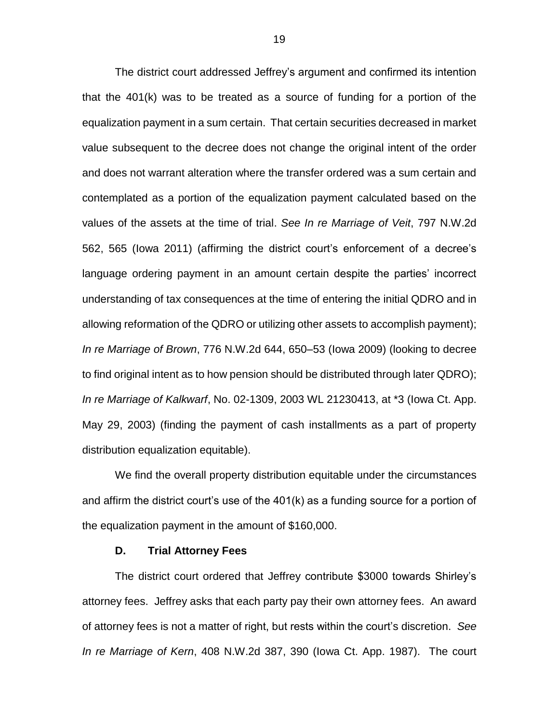The district court addressed Jeffrey's argument and confirmed its intention that the 401(k) was to be treated as a source of funding for a portion of the equalization payment in a sum certain. That certain securities decreased in market value subsequent to the decree does not change the original intent of the order and does not warrant alteration where the transfer ordered was a sum certain and contemplated as a portion of the equalization payment calculated based on the values of the assets at the time of trial. *See In re Marriage of Veit*, 797 N.W.2d 562, 565 (Iowa 2011) (affirming the district court's enforcement of a decree's language ordering payment in an amount certain despite the parties' incorrect understanding of tax consequences at the time of entering the initial QDRO and in allowing reformation of the QDRO or utilizing other assets to accomplish payment); *In re Marriage of Brown*, 776 N.W.2d 644, 650–53 (Iowa 2009) (looking to decree to find original intent as to how pension should be distributed through later QDRO); *In re Marriage of Kalkwarf*, No. 02-1309, 2003 WL 21230413, at \*3 (Iowa Ct. App. May 29, 2003) (finding the payment of cash installments as a part of property distribution equalization equitable).

We find the overall property distribution equitable under the circumstances and affirm the district court's use of the 401(k) as a funding source for a portion of the equalization payment in the amount of \$160,000.

## **D. Trial Attorney Fees**

The district court ordered that Jeffrey contribute \$3000 towards Shirley's attorney fees. Jeffrey asks that each party pay their own attorney fees. An award of attorney fees is not a matter of right, but rests within the court's discretion. *See In re Marriage of Kern*, 408 N.W.2d 387, 390 (Iowa Ct. App. 1987). The court